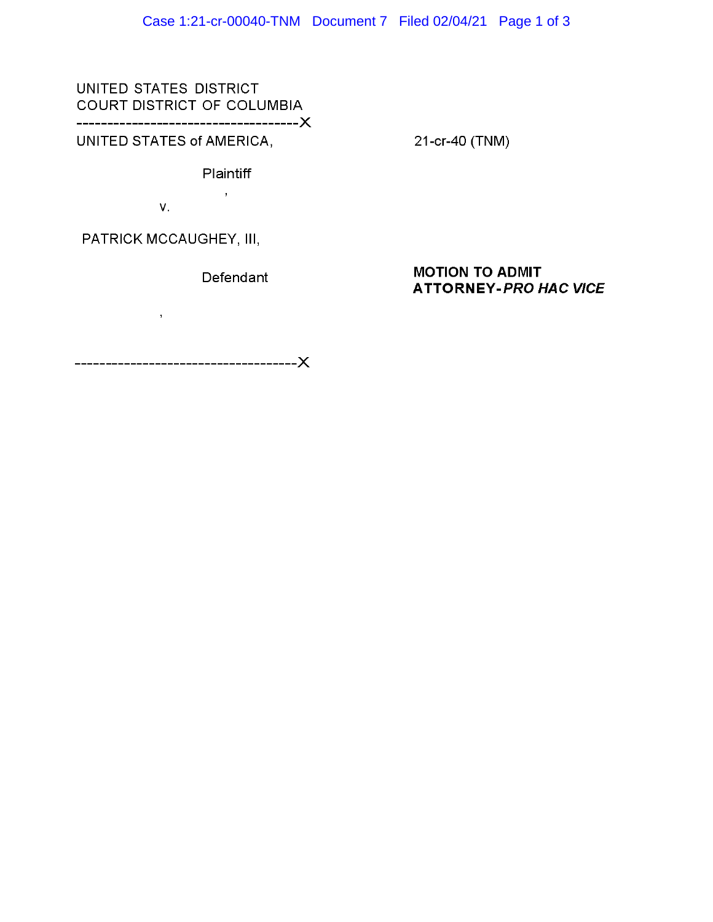UNITED STATES DISTRICT COURT DISTRICT OF COLUMBIA ------------------------------------)(

UNITED STATES of AMERICA,

21-cr-40 (TNM)

**Plaintiff**  $\mathbf{r}$ 

v.

PATRICK MCCAUGHEY, Ill,

 $\sim 10^7$ 

**Defendant** 

## **MOTION TO ADMIT ATTORNEY-PRO HAC VICE**

------------------------------------)(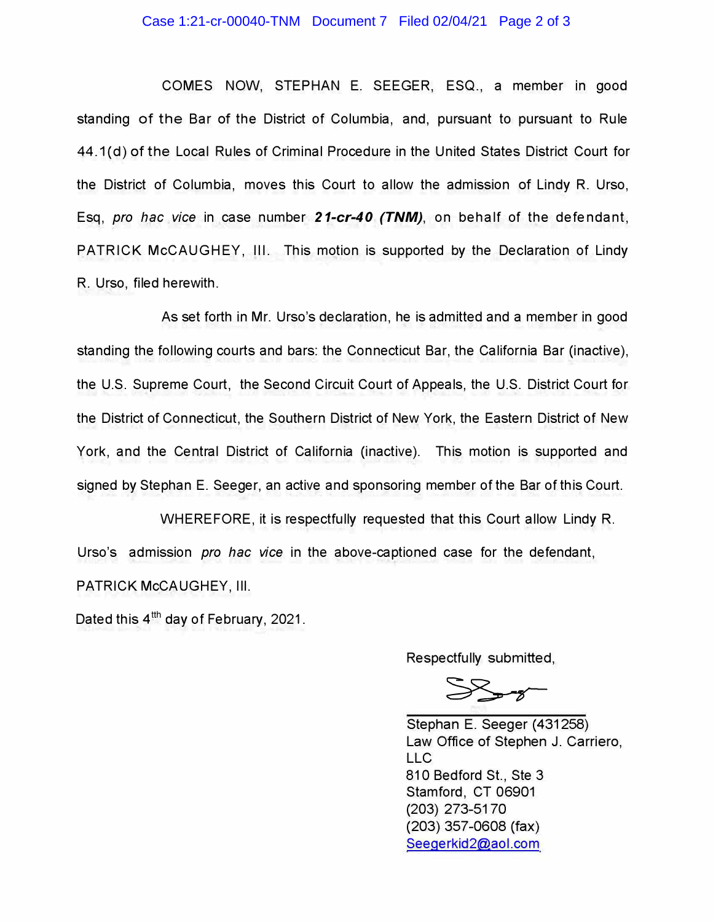## Case 1:21-cr-00040-TNM Document 7 Filed 02/04/21 Page 2 of 3

COMES NOW, STEPHAN E. SEEGER, ESQ., a member in good standing of the Bar of the District of Columbia, and, pursuant to pursuant to Rule 44.1 (d) of the Local Rules of Criminal Procedure in the United States District Court for the District of Columbia, moves this Court to allow the admission of Lindy R. Urso, Esq, *pro hac vice* in case number *21-cr-40 (TNM),* on behalf of the defendant, PATRICK McCAUGHEY, Ill. This motion is supported by the Declaration of Lindy R. Urso, filed herewith.

As set forth in Mr. Urso's declaration, he is admitted and a member in good standing the following courts and bars: the Connecticut Bar, the California Bar (inactive), the U.S. Supreme Court, the Second Circuit Court of Appeals, the U.S. District Court for the District of Connecticut, the Southern District of New York, the Eastern District of New York, and the Central District of California (inactive). This motion is supported and signed by Stephan E. Seeger, an active and sponsoring member of the Bar of this Court.

WHEREFORE, it is respectfully requested that this Court allow Lindy R. Urso's admission *pro hac vice* in the above-captioned case for the defendant, PATRICK McCAUGHEY, Ill.

Dated this 4 $^{\text{th}}$  day of February, 2021.

Respectfully submitted,

 $55 - 8$ 

Stephan E. Seeger (431258) Law Office of Stephen J. Carriero, LLC 810 Bedford St., Ste 3 Stamford, CT 06901 (203) 273-5170 (203) 357-0608 (fax) Seegerkid2@aol.com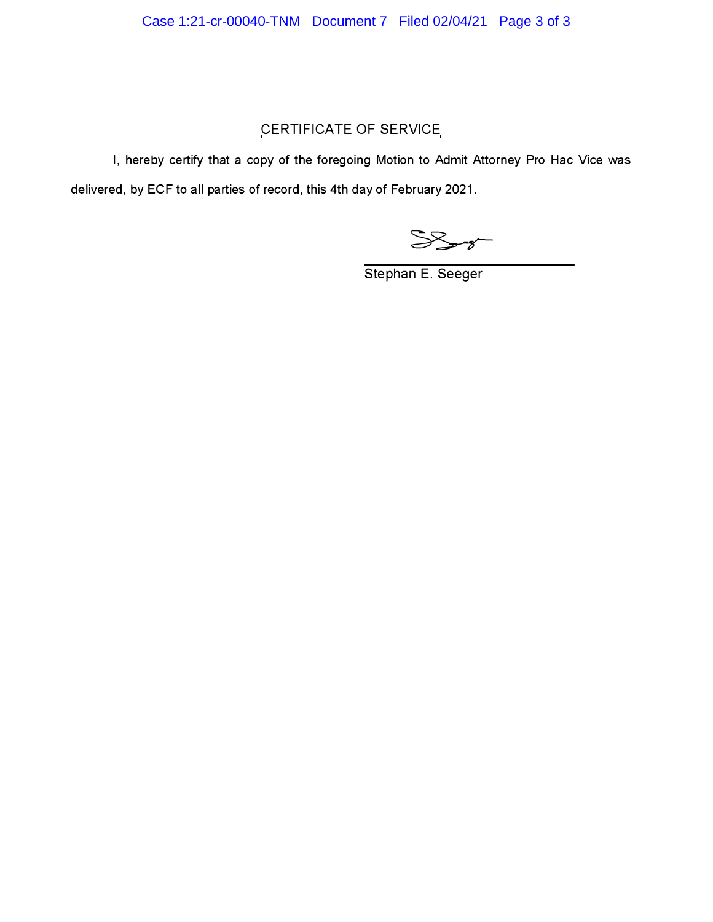## CERTIFICATE OF SERVICE

I, hereby certify that a copy of the foregoing Motion to Admit Attorney Pro Hac Vice was delivered, by ECF to all parties of record, this 4th day of February 2021.

 $SS - 7$ 

Stephan E. Seeger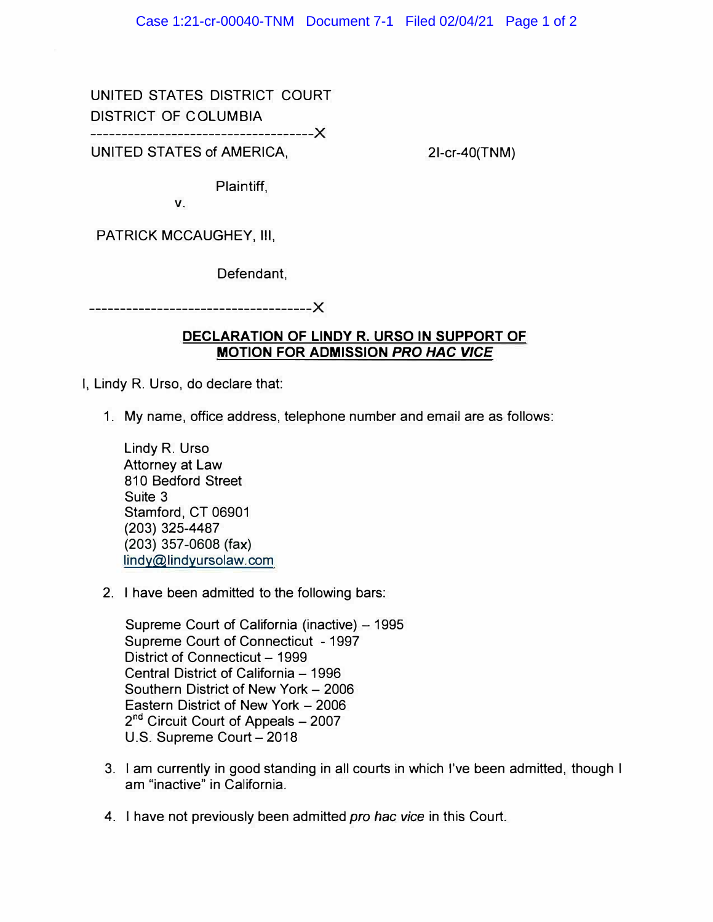UNITED STATES DISTRICT COURT DISTRICT OF COLUMBIA

**------------------------------------X** 

UNITED STATES of AMERICA,

21-cr-40(TNM)

Plaintiff,

**V.** 

PATRICK MCCAUGHEY, 111,

Defendant,

**------------------------------------X** 

## **DECLARATION OF LINDY R. URSO IN SUPPORT OF MOTION FOR ADMISSION** *PRO HAC VICE*

- I, Lindy R. Urso, do declare that:
	- 1. My name, office address, telephone number and email are as follows:

Lindy R. Urso Attorney at Law 810 Bedford Street Suite 3 Stamford, CT 06901 (203) 325-4487 (203) 357-0608 (fax) lindy@lindyursolaw.com

2. I have been admitted to the following bars:

Supreme Court of California (inactive) - 1995 Supreme Court of Connecticut - 1997 District of Connecticut - 1999 Central District of California - 1996 Southern District of New York - 2006 Eastern District of New York - 2006 2<sup>nd</sup> Circuit Court of Appeals - 2007 U.S. Supreme Court - 2018

- 3. I am currently in good standing in all courts in which I've been admitted, though I am "inactive" in California.
- 4. I have not previously been admitted *pro hac vice* in this Court.